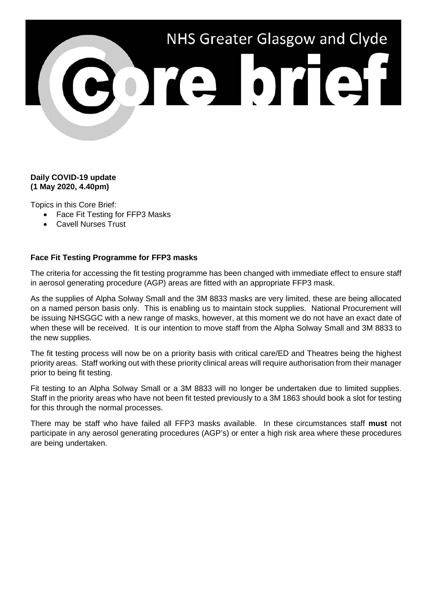

## **Daily COVID-19 update (1 May 2020, 4.40pm)**

Topics in this Core Brief:

- Face Fit Testing for FFP3 Masks
- Cavell Nurses Trust

## **Face Fit Testing Programme for FFP3 masks**

The criteria for accessing the fit testing programme has been changed with immediate effect to ensure staff in aerosol generating procedure (AGP) areas are fitted with an appropriate FFP3 mask.

As the supplies of Alpha Solway Small and the 3M 8833 masks are very limited, these are being allocated on a named person basis only. This is enabling us to maintain stock supplies. National Procurement will be issuing NHSGGC with a new range of masks, however, at this moment we do not have an exact date of when these will be received. It is our intention to move staff from the Alpha Solway Small and 3M 8833 to the new supplies.

The fit testing process will now be on a priority basis with critical care/ED and Theatres being the highest priority areas. Staff working out with these priority clinical areas will require authorisation from their manager prior to being fit testing.

Fit testing to an Alpha Solway Small or a 3M 8833 will no longer be undertaken due to limited supplies. Staff in the priority areas who have not been fit tested previously to a 3M 1863 should book a slot for testing for this through the normal processes.

There may be staff who have failed all FFP3 masks available. In these circumstances staff **must** not participate in any aerosol generating procedures (AGP's) or enter a high risk area where these procedures are being undertaken.